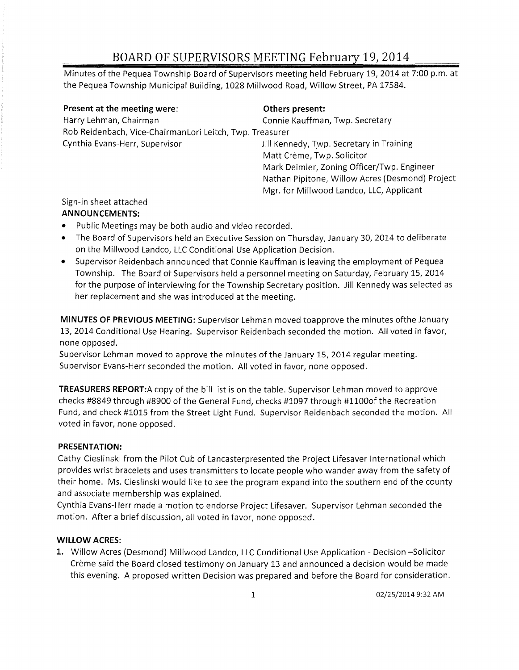Minutes of the Pequea Township Board of Supervisors meeting held February 19, 2014 at 7:00 p.m. at the Pequea Township Municipal Building, 1028 Millwood Road, Willow Street, PA 17584.

| Present at the meeting were:                             | Others present:                                 |
|----------------------------------------------------------|-------------------------------------------------|
| Harry Lehman, Chairman                                   | Connie Kauffman, Twp. Secretary                 |
| Rob Reidenbach, Vice-ChairmanLori Leitch, Twp. Treasurer |                                                 |
| Cynthia Evans-Herr, Supervisor                           | Jill Kennedy, Twp. Secretary in Training        |
|                                                          | Matt Crème, Twp. Solicitor                      |
|                                                          | Mark Deimler, Zoning Officer/Twp. Engineer      |
|                                                          | Nathan Pipitone, Willow Acres (Desmond) Project |
|                                                          | Mgr. for Millwood Landco, LLC, Applicant        |

## Sign-in sheet attached

### **ANNOUNCEMENTS:**

- Public Meetings may be both audio and video recorded.
- The Board of Supervisors held an Executive Session on Thursday, January 30,2014 to deliberate on the Millwood Landco, LLC Conditional Use Application Decision.
- Supervisor Reidenbach announced that Connie Kauffman is leaving the employment of Pequea Township. The Board of Supervisors held a personnel meeting on Saturday, February 15, 2014 for the purpose of interviewing for the Township Secretary position. Jill Kennedy was selected as her replacement and she was introduced at the meeting.

**MINUTES OF PREVIOUS MEETING:** Supervisor Lehman moved toapprove the minutes of the January 13,2014 Conditional Use Hearing. Supervisor Reidenbach seconded the motion. All voted in favor, none opposed.

Supervisor Lehman moved to approve the minutes of the January 15, 2014 regular meeting. Supervisor Evans-Herr seconded the motion. All voted in favor, none opposed.

**TREASURERS REPORT:A** copy of the bill list is on the table. Supervisor Lehman moved to approve checks #8849 through #8900 of the General Fund, checks #1097 through #1100of the Recreation Fund, and check #1015 from the Street Light Fund. Supervisor Reidenbach seconded the motion. All voted in favor, none opposed.

## **PRESENTATION:**

Cathy Cieslinski from the Pilot Cub of Lancasterpresented the Project Lifesaver International which provides wrist bracelets and uses transmitters to locate people who wander away from the safety of their home. Ms. Cieslinski would like to see the program expand into the southern end of the county and associate membership was explained.

Cynthia Evans-Herr made a motion to endorse Project Lifesaver. Supervisor Lehman seconded the motion. After a brief discussion, all voted in favor, none opposed.

## **WILLOW ACRES:**

1. Willow Acres (Desmond) Millwood Landco, LLC Conditional Use Application - Decision -Solicitor Creme said the Board closed testimony on January 13 and announced a decision would be made this evening. A proposed written Decision was prepared and before the Board for consideration.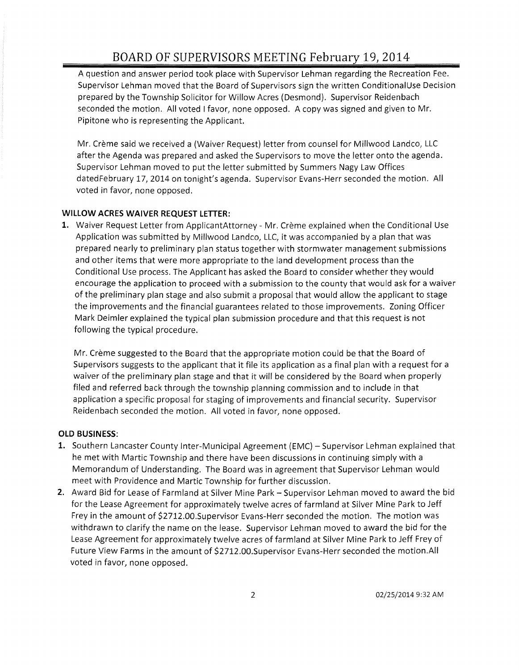A question and answer period took place with Supervisor Lehman regarding the Recreation Fee. Supervisor Lehman moved that the Board of Supervisors sign the written Conditional Use Decision prepared by the Township Solicitor for Willow Acres (Desmond). Supervisor Reidenbach seconded the motion. All voted I favor, none opposed. A copy was signed and given to Mr. Pipitone who is representing the Applicant.

Mr. Creme said we received a (Waiver Request) letter from counsel for Millwood Landco, LLC after the Agenda was prepared and asked the Supervisors to move the letter onto the agenda. Supervisor Lehman moved to put the letter submitted by Summers Nagy Law Offices datedFebruary 17, 2014 on tonight's agenda. Supervisor Evans-Herr seconded the motion. All voted in favor, none opposed.

#### **WILLOW ACRES WAIVER REQUEST LETTER:**

1. Waiver Request Letter from ApplicantAttorney - Mr. Crème explained when the Conditional Use Application was submitted by Millwood Landco, LLC, it was accompanied by a plan that was prepared nearly to preliminary plan status together with stormwater management submissions and other items that were more appropriate to the land development process than the Conditional Use process. The Applicant has asked the Board to consider whether they would encourage the application to proceed with a submission to the county that would ask for a waiver of the preliminary plan stage and also submit a proposal that would allow the applicant to stage the improvements and the financial guarantees related to those improvements. Zoning Officer Mark Deimler explained the typical plan submission procedure and that this request is not following the typical procedure.

Mr. Crème suggested to the Board that the appropriate motion could be that the Board of Supervisors suggests to the applicant that it file its application as a final plan with a request for a waiver of the preliminary plan stage and that it will be considered by the Board when properly filed and referred back through the township planning commission and to include in that application a specific proposal for staging of improvements and financial security. Supervisor Reidenbach seconded the motion. All voted in favor, none opposed.

### **OLD BUSINESS:**

- 1. Southern Lancaster County Inter-Municipal Agreement (EMC) Supervisor Lehman explained that he met with Martie Township and there have been discussions in continuing simply with a Memorandum of Understanding. The Board was in agreement that Supervisor Lehman would meet with Providence and Martic Township for further discussion.
- 2. Award Bid for Lease of Farmland at Silver Mine Park Supervisor Lehman moved to award the bid for the Lease Agreement for approximately twelve acres of farmland at Silver Mine Park to Jeff Frey in the amount of \$2712.00.Supervisor Evans-Herr seconded the motion. The motion was withdrawn to clarify the name on the lease. Supervisor Lehman moved to award the bid for the Lease Agreement for approximately twelve acres of farmland at Silver Mine Park to Jeff Frey of Future View Farms in the amount of \$2712.00.Supervisor Evans-Herr seconded the motion.AII voted in favor, none opposed.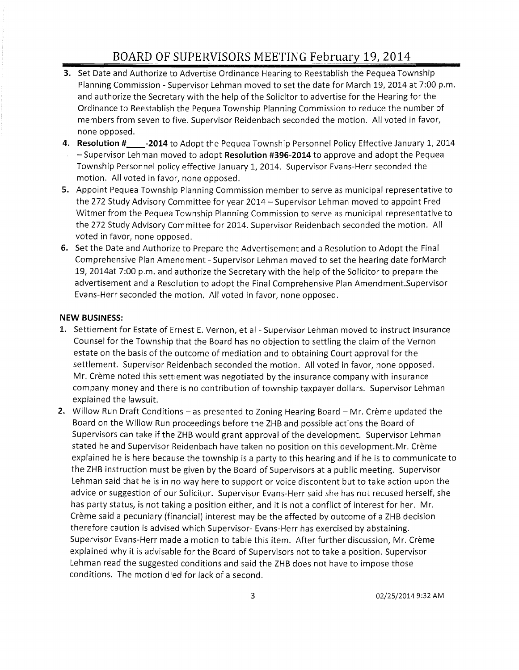- **3.** Set Date and Authorize to Advertise Ordinance Hearing to Reestablish the Pequea Township Planning Commission - Supervisor Lehman moved to set the date for March 19,2014 at 7:00 **p.m.**  and authorize the Secretary with the help of the Solicitor to advertise for the Hearing for the Ordinance to Reestablish the Pequea Township Planning Commission to reduce the number of members from seven to five. Supervisor Reidenbach seconded the motion. All voted in favor, none opposed.
- **4. Resolution # \_\_ -2014** to Adopt the Pequea Township Personnel Policy Effective January 1, 2014 - Supervisor Lehman moved to adopt **Resolution #396-2014** to approve and adopt the Pequea Township Personnel policy effective January 1, 2014. Supervisor Evans-Herr seconded the motion. All voted in favor, none opposed.
- **5.** Appoint Pequea Township Planning Commission member to serve as municipal representative to the 272 Study Advisory Committee for year 2014 - Supervisor Lehman moved to appoint Fred Witmer from the Pequea Township Planning Commission to serve as municipal representative to the 272 Study Advisory Committee for 2014. Supervisor Reidenbach seconded the motion. All voted in favor, none opposed.
- **6.** Set the Date and Authorize to Prepare the Advertisement and a Resolution to Adopt the Final Comprehensive Plan Amendment - Supervisor Lehman moved to set the hearing date forMarch 19, 2014at 7:00 p.m. and authorize the Secretary with the help of the Solicitor to prepare the advertisement and a Resolution to adopt the Final Comprehensive Plan Amendment.Supervisor Evans-Herr seconded the motion. All voted in favor, none opposed.

#### **NEW BUSINESS:**

- **1.** Settlement for Estate of Ernest E. Vernon, et al Supervisor Lehman moved to instruct Insurance Counsel for the Township that the Board has no objection to settling the claim of the Vernon estate on the basis of the outcome of mediation and to obtaining Court approval for the settlement. Supervisor Reidenbach seconded the motion. All voted in favor, none opposed. Mr. Crème noted this settlement was negotiated by the insurance company with insurance company money and there is no contribution of township taxpayer dollars. Supervisor Lehman explained the lawsuit.
- **2.** Willow Run Draft Conditions as presented to Zoning Hearing Board Mr. Crème updated the Board on the Willow Run proceedings before the ZHB and possible actions the Board of Supervisors can take if the ZHB would grant approval of the development. Supervisor Lehman stated he and Supervisor Reidenbach have taken no position on this development.Mr. Crème explained he is here because the township is a party to this hearing and if he is to communicate to the ZHB instruction must be given by the Board of Supervisors at a public meeting. Supervisor Lehman said that he is in no way here to support or voice discontent but to take action upon the advice or suggestion of our Solicitor. Supervisor Evans-Herr said she has not recused herself, she has party status, is not taking a position either, and it is not a conflict of interest for her. Mr. Creme said a pecuniary (financial) interest may be the affected by outcome of a ZHB decision therefore caution is advised which Supervisor- Evans-Herr has exercised by abstaining. Supervisor Evans-Herr made a motion to table this item. After further discussion, Mr. Crème explained why it is advisable for the Board of Supervisors not to take a position. Supervisor Lehman read the suggested conditions and said the ZHB does not have to impose those conditions. The motion died for lack of a second.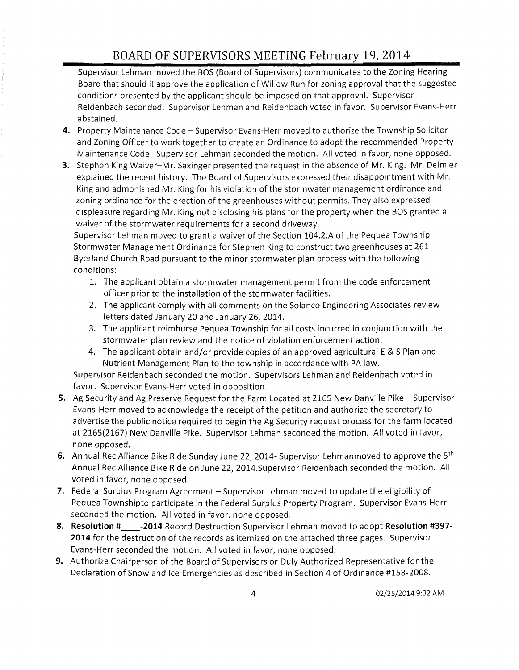Supervisor Lehman moved the BOS (Board of Supervisors) communicates to the Zoning Hearing Board that should it approve the application of Willow Run for zoning approval that the suggested conditions presented by the applicant should be imposed on that approval. Supervisor Reidenbach seconded. Supervisor Lehman and Reidenbach voted in favor. Supervisor Evans-Herr abstained.

- **4.** Property Maintenance Code Supervisor Evans-Herr moved to authorize the Township Solicitor and Zoning Officer to work together to create an Ordinance to adopt the recommended Property Maintenance Code. Supervisor Lehman seconded the motion. All voted in favor, none opposed.
- **3.** Stephen King Waiver-Mr. Saxinger presented the request in the absence of Mr. King. Mr. Deimler explained the recent history. The Board of Supervisors expressed their disappointment with Mr. King and admonished Mr. King for his violation of the stormwater management ordinance and zoning ordinance for the erection of the greenhouses without permits. They also expressed displeasure regarding Mr. King not disclosing his plans for the property when the BOS granted a waiver of the stormwater requirements for a second driveway.

Supervisor Lehman moved to grant a waiver of the Section 104.2.A of the Pequea Township Stormwater Management Ordinance for Stephen King to construct two greenhouses at 261 Byerland Church Road pursuant to the minor stormwater plan process with the following conditions:

- 1. The applicant obtain a stormwater management permit from the code enforcement officer prior to the installation of the stormwater facilities.
- 2. The applicant comply with all comments on the Solanco Engineering Associates review letters dated January 20 and January 26, 2014.
- 3. The applicant reimburse Pequea Township for all costs incurred in conjunction with the stormwater plan review and the notice of violation enforcement action.
- 4. The applicant obtain and/or provide copies of an approved agricultural E & S Plan and Nutrient Management Plan to the township in accordance with PA law.

Supervisor Reidenbach seconded the motion. Supervisors Lehman and Reidenbach voted in favor. Supervisor Evans-Herr voted in opposition.

- **5.** Ag Security and Ag Preserve Request for the Farm Located at 2165 New Danville Pike Supervisor Evans-Herr moved to acknowledge the receipt of the petition and authorize the secretary to advertise the public notice required to begin the Ag Security request process for the farm located at 2165(2167) New Danville Pike. Supervisor Lehman seconded the motion. All voted in favor, none opposed.
- **6.** Annual Rec Alliance Bike Ride Sunday June 22, 2014- Supervisor Lehmanmoved to approve the 5th Annual Rec Alliance Bike Ride on June 22, 2014.Supervisor Reidenbach seconded the motion. All voted in favor, none opposed.
- 7. Federal Surplus Program Agreement Supervisor Lehman moved to update the eligibility of Pequea Townshipto participate in the Federal Surplus Property Program. Supervisor Evans-Herr seconded the motion. All voted in favor, none opposed.
- **8. Resolution # \_\_ -2014** Record Destruction Supervisor Lehman moved to adopt **Resolution #397- 2014** for the destruction of the records as itemized on the attached three pages. Supervisor Evans-Herr seconded the motion. All voted in favor, none opposed.
- **9.** Authorize Chairperson of the Board of Supervisors or Duly Authorized Representative for the Declaration of Snow and Ice Emergencies as described in Section 4 of Ordinance #158-2008.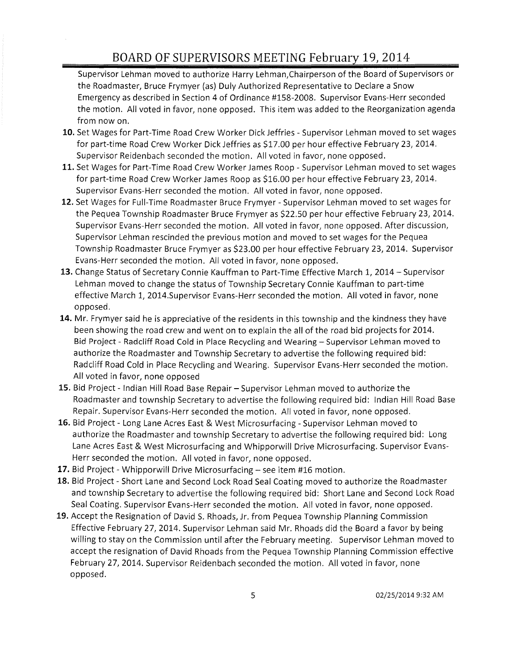Supervisor Lehman moved to authorize Harry Lehman,Chairperson of the Board of Supervisors or the Roadmaster, Bruce Frymyer (as) Duly Authorized Representative to Declare a Snow Emergency as described in Section 4 of Ordinance #158-2008. Supervisor Evans-Herr seconded the motion. All voted in favor, none opposed. This item was added to the Reorganization agenda from now on.

- **10.** Set Wages for Part-Time Road Crew Worker Dick Jeffries Supervisor Lehman moved to set wages for part-time Road Crew Worker Dick Jeffries as \$17.00 per hour effective February 23,2014. Supervisor Reidenbach seconded the motion. All voted in favor, none opposed.
- **11.** Set Wages for Part-Time Road Crew Worker James Roop Supervisor Lehman moved to set wages for part-time Road Crew Worker James Roop as \$16.00 per hour effective February 23, 2014. Supervisor Evans-Herr seconded the motion. All voted in favor, none opposed.
- **12.** Set Wages for Full-Time Roadmaster Bruce Frymyer Supervisor Lehman moved to set wages for the Pequea Township Roadmaster Bruce Frymyer as \$22.50 per hour effective February 23,2014. Supervisor Evans-Herr seconded the motion. All voted in favor, none opposed. After discussion, Supervisor Lehman rescinded the previous motion and moved to set wages for the Pequea Township Roadmaster Bruce Frymyer as \$23.00 per hour effective February 23, 2014. Supervisor Evans-Herr seconded the motion. All voted in favor, none opposed.
- **13.** Change Status of Secretary Connie Kauffman to Part-Time Effective March 1, 2014 Supervisor Lehman moved to change the status of Township Secretary Connie Kauffman to part-time effective March 1, 2014.5upervisor Evans-Herr seconded the motion. All voted in favor, none opposed.
- 14. Mr. Frymyer said he is appreciative of the residents in this township and the kindness they have been showing the road crew and went on to explain the all of the road bid projects for 2014. Bid Project - Radcliff Road Cold in Place Recycling and Wearing - Supervisor Lehman moved to authorize the Roadmaster and Township Secretary to advertise the following required bid: Radcliff Road Cold in Place Recycling and Wearing. Supervisor Evans-Herr seconded the motion. All voted in favor, none opposed
- 15. Bid Project Indian Hill Road Base Repair Supervisor Lehman moved to authorize the Roadmaster and township Secretary to advertise the following required bid: Indian Hill Road Base Repair. Supervisor Evans-Herr seconded the motion. All voted in favor, none opposed.
- **16.** Bid Project Long Lane Acres East & West Microsurfacing Supervisor Lehman moved to authorize the Roadmaster and township Secretary to advertise the following required bid: Long Lane Acres East & West Microsurfacing and Whipporwill Drive Microsurfacing. Supervisor Evans-Herr seconded the motion. All voted in favor, none opposed.
- 17. Bid Project Whipporwill Drive Microsurfacing see item #16 motion.
- **18.** Bid Project Short Lane and Second Lock Road Seal Coating moved to authorize the Roadmaster and township Secretary to advertise the following required bid: Short Lane and Second Lock Road Seal Coating. Supervisor Evans-Herr seconded the motion. All voted in favor, none opposed.
- **19.** Accept the Resignation of David S. Rhoads, Jr. from Pequea Township Planning Commission Effective February 27,2014. Supervisor Lehman said Mr. Rhoads did the Board a favor by being willing to stay on the Commission until after the February meeting. Supervisor Lehman moved to accept the resignation of David Rhoads from the Pequea Township Planning Commission effective February 27, 2014. Supervisor Reidenbach seconded the motion. All voted in favor, none opposed.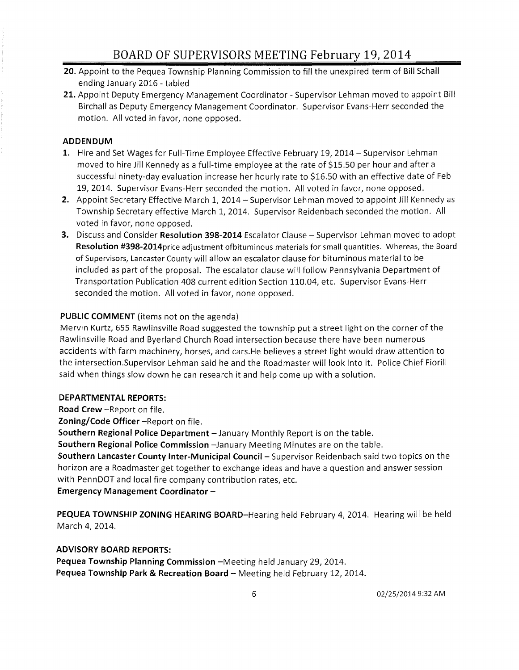- **20.** Appoint to the Pequea Township Planning Commission to fill the unexpired term of Bill Schall ending January 2016 - tabled
- **21.** Appoint Deputy Emergency Management Coordinator Supervisor Lehman moved to appoint Bill Birchall as Deputy Emergency Management Coordinator. Supervisor Evans-Herr seconded the motion. All voted in favor, none opposed.

### **ADDENDUM**

- **1.** Hire and Set Wages for Full-Time Employee Effective February 19, 2014 Supervisor Lehman moved to hire Jill Kennedy as a full-time employee at the rate of \$15.50 per hour and after a successful ninety-day evaluation increase her hourly rate to \$16.50 with an effective date of Feb 19,2014. Supervisor Evans-Herr seconded the motion. All voted in favor, none opposed.
- **2.** Appoint Secretary Effective March 1, 2014 Supervisor Lehman moved to appoint Jill Kennedy as Township Secretary effective March 1,2014. Supervisor Reidenbach seconded the motion. All voted in favor, none opposed.
- **3.** Discuss and Consider **Resolution 398-2014** Escalator Clause Supervisor Lehman moved to adopt Resolution #398-2014 price adjustment of bituminous materials for small quantities. Whereas, the Board of Supervisors, Lancaster County will allow an escalator clause for bituminous material to be included as part of the proposal. The escalator clause will follow Pennsylvania Department of Transportation Publication 408 current edition Section 110.04, etc. Supervisor Evans-Herr seconded the motion. All voted in favor, none opposed.

### **PUBLIC COMMENT** (items not on the agenda)

Mervin Kurtz, 655 Rawlinsville Road suggested the township put a street light on the corner of the Rawlinsville Road and Byerland Church Road intersection because there have been numerous accidents with farm machinery, horses, and cars.He believes a street light would draw attention to the intersection.Supervisor Lehman said he and the Roadmaster will look into it. Police Chief Fiorill said when things slow down he can research it and help come up with a solution.

### **DEPARTMENTAL REPORTS:**

**Road Crew** -Report on file.

**Zoning/Code Officer** -Report on file.

**Southern Regional Police Department** - January Monthly Report is on the table.

**Southern Regional Police Commission** -January Meeting Minutes are on the table.

**Southern Lancaster County Inter-Municipal Council - Supervisor Reidenbach said two topics on the** horizon are a Roadmaster get together to exchange ideas and have a question and answer session with PennDOT and local fire company contribution rates, etc.

**Emergency Management Coordinator -**

**PEQUEA TOWNSHIP ZONING HEARING BOARD-Hearing** held February 4,2014. Hearing will be held March 4, 2014.

## **ADVISORY BOARD REPORTS:**

Pequea Township Planning Commission -Meeting held January 29, 2014. Pequea Township Park & Recreation Board - Meeting held February 12, 2014.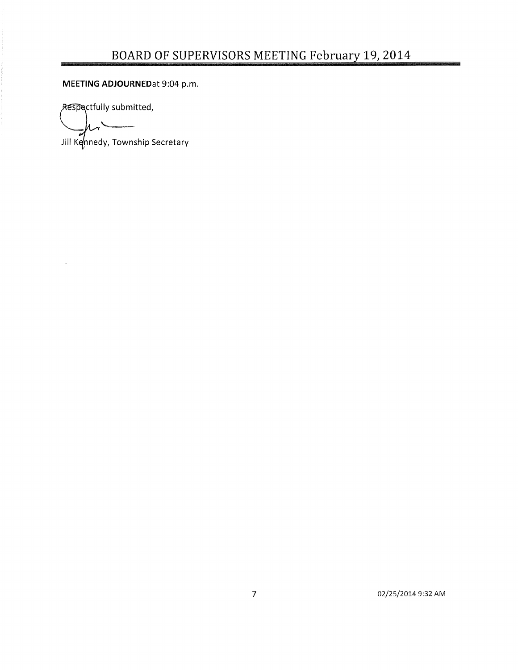**MEETING ADJOURNEDat** 9:04 p.m.

Respectfully submitted,

 $\mathbf{v}^{\prime}$ 

Jill Kennedy, Township Secretary